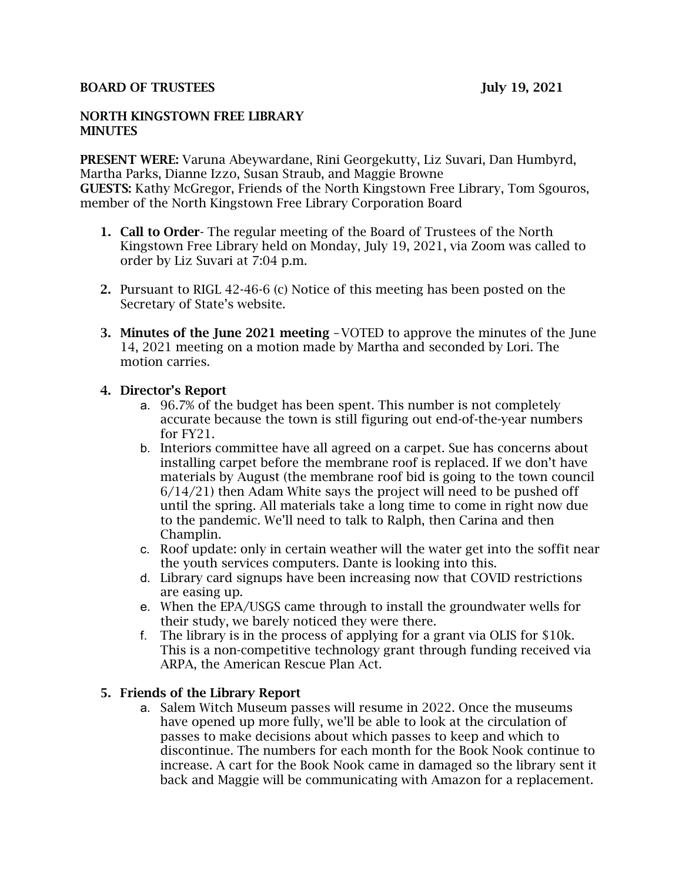#### BOARD OF TRUSTEES July 19, 2021

#### NORTH KINGSTOWN FREE LIBRARY **MINUTES**

PRESENT WERE: Varuna Abeywardane, Rini Georgekutty, Liz Suvari, Dan Humbyrd, Martha Parks, Dianne Izzo, Susan Straub, and Maggie Browne GUESTS: Kathy McGregor, Friends of the North Kingstown Free Library, Tom Sgouros, member of the North Kingstown Free Library Corporation Board

- 1. Call to Order- The regular meeting of the Board of Trustees of the North Kingstown Free Library held on Monday, July 19, 2021, via Zoom was called to order by Liz Suvari at 7:04 p.m.
- 2. Pursuant to RIGL 42-46-6 (c) Notice of this meeting has been posted on the Secretary of State's website.
- 3. Minutes of the June 2021 meeting –VOTED to approve the minutes of the June 14, 2021 meeting on a motion made by Martha and seconded by Lori. The motion carries.

## 4. Director's Report

- a. 96.7% of the budget has been spent. This number is not completely accurate because the town is still figuring out end-of-the-year numbers for FY21.
- b. Interiors committee have all agreed on a carpet. Sue has concerns about installing carpet before the membrane roof is replaced. If we don't have materials by August (the membrane roof bid is going to the town council  $6/14/21$ ) then Adam White says the project will need to be pushed off until the spring. All materials take a long time to come in right now due to the pandemic. We'll need to talk to Ralph, then Carina and then Champlin.
- c. Roof update: only in certain weather will the water get into the soffit near the youth services computers. Dante is looking into this.
- d. Library card signups have been increasing now that COVID restrictions are easing up.
- e. When the EPA/USGS came through to install the groundwater wells for their study, we barely noticed they were there.
- f. The library is in the process of applying for a grant via OLIS for \$10k. This is a non-competitive technology grant through funding received via ARPA, the American Rescue Plan Act.

## 5. Friends of the Library Report

a. Salem Witch Museum passes will resume in 2022. Once the museums have opened up more fully, we'll be able to look at the circulation of passes to make decisions about which passes to keep and which to discontinue. The numbers for each month for the Book Nook continue to increase. A cart for the Book Nook came in damaged so the library sent it back and Maggie will be communicating with Amazon for a replacement.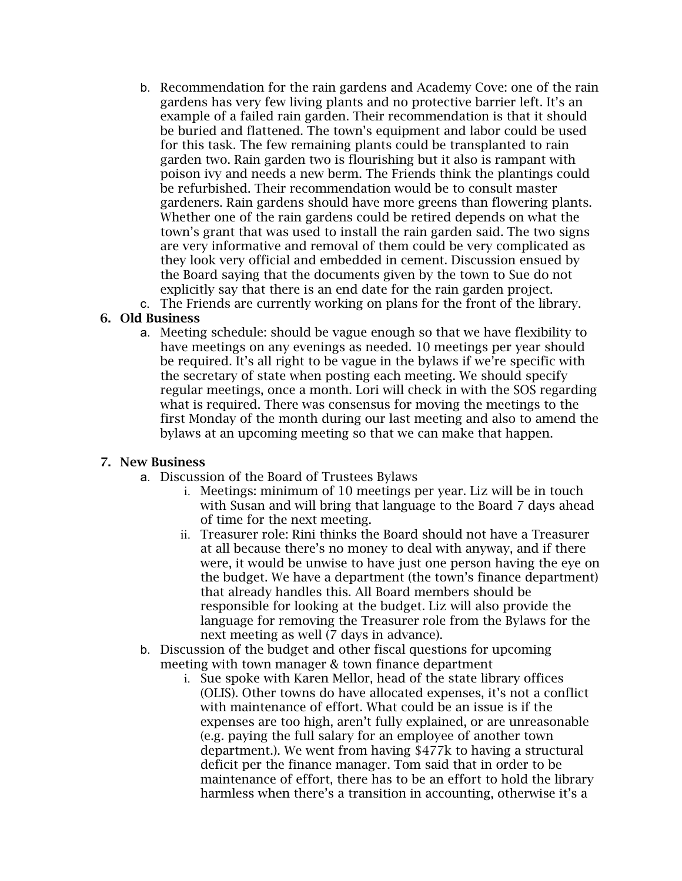- b. Recommendation for the rain gardens and Academy Cove: one of the rain gardens has very few living plants and no protective barrier left. It's an example of a failed rain garden. Their recommendation is that it should be buried and flattened. The town's equipment and labor could be used for this task. The few remaining plants could be transplanted to rain garden two. Rain garden two is flourishing but it also is rampant with poison ivy and needs a new berm. The Friends think the plantings could be refurbished. Their recommendation would be to consult master gardeners. Rain gardens should have more greens than flowering plants. Whether one of the rain gardens could be retired depends on what the town's grant that was used to install the rain garden said. The two signs are very informative and removal of them could be very complicated as they look very official and embedded in cement. Discussion ensued by the Board saying that the documents given by the town to Sue do not explicitly say that there is an end date for the rain garden project.
- c. The Friends are currently working on plans for the front of the library.

# 6. Old Business

a. Meeting schedule: should be vague enough so that we have flexibility to have meetings on any evenings as needed. 10 meetings per year should be required. It's all right to be vague in the bylaws if we're specific with the secretary of state when posting each meeting. We should specify regular meetings, once a month. Lori will check in with the SOS regarding what is required. There was consensus for moving the meetings to the first Monday of the month during our last meeting and also to amend the bylaws at an upcoming meeting so that we can make that happen.

## 7. New Business

- a. Discussion of the Board of Trustees Bylaws
	- i. Meetings: minimum of 10 meetings per year. Liz will be in touch with Susan and will bring that language to the Board 7 days ahead of time for the next meeting.
	- ii. Treasurer role: Rini thinks the Board should not have a Treasurer at all because there's no money to deal with anyway, and if there were, it would be unwise to have just one person having the eye on the budget. We have a department (the town's finance department) that already handles this. All Board members should be responsible for looking at the budget. Liz will also provide the language for removing the Treasurer role from the Bylaws for the next meeting as well (7 days in advance).
- b. Discussion of the budget and other fiscal questions for upcoming meeting with town manager & town finance department
	- i. Sue spoke with Karen Mellor, head of the state library offices (OLIS). Other towns do have allocated expenses, it's not a conflict with maintenance of effort. What could be an issue is if the expenses are too high, aren't fully explained, or are unreasonable (e.g. paying the full salary for an employee of another town department.). We went from having \$477k to having a structural deficit per the finance manager. Tom said that in order to be maintenance of effort, there has to be an effort to hold the library harmless when there's a transition in accounting, otherwise it's a